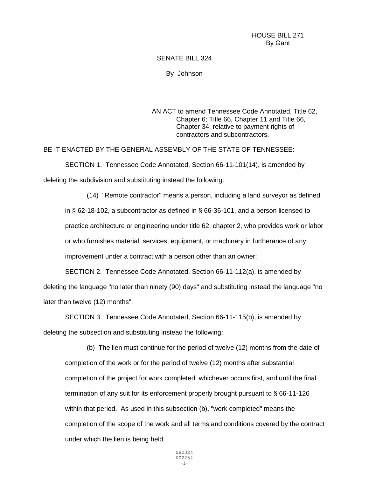HOUSE BILL 271 By Gant

## SENATE BILL 324

By Johnson

AN ACT to amend Tennessee Code Annotated, Title 62, Chapter 6; Title 66, Chapter 11 and Title 66, Chapter 34, relative to payment rights of contractors and subcontractors.

BE IT ENACTED BY THE GENERAL ASSEMBLY OF THE STATE OF TENNESSEE:

SECTION 1. Tennessee Code Annotated, Section 66-11-101(14), is amended by deleting the subdivision and substituting instead the following:

(14) "Remote contractor" means a person, including a land surveyor as defined in § 62-18-102, a subcontractor as defined in § 66-36-101, and a person licensed to practice architecture or engineering under title 62, chapter 2, who provides work or labor or who furnishes material, services, equipment, or machinery in furtherance of any improvement under a contract with a person other than an owner;

SECTION 2. Tennessee Code Annotated, Section 66-11-112(a), is amended by deleting the language "no later than ninety (90) days" and substituting instead the language "no later than twelve (12) months".

SECTION 3. Tennessee Code Annotated, Section 66-11-115(b), is amended by deleting the subsection and substituting instead the following:

(b) The lien must continue for the period of twelve (12) months from the date of completion of the work or for the period of twelve (12) months after substantial completion of the project for work completed, whichever occurs first, and until the final termination of any suit for its enforcement properly brought pursuant to § 66-11-126 within that period. As used in this subsection (b), "work completed" means the completion of the scope of the work and all terms and conditions covered by the contract under which the lien is being held.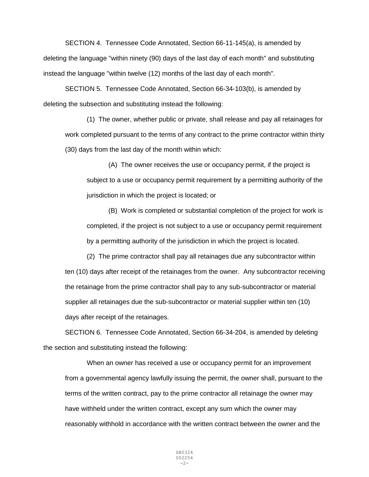SECTION 4. Tennessee Code Annotated, Section 66-11-145(a), is amended by deleting the language "within ninety (90) days of the last day of each month" and substituting instead the language "within twelve (12) months of the last day of each month".

SECTION 5. Tennessee Code Annotated, Section 66-34-103(b), is amended by deleting the subsection and substituting instead the following:

(1) The owner, whether public or private, shall release and pay all retainages for work completed pursuant to the terms of any contract to the prime contractor within thirty (30) days from the last day of the month within which:

(A) The owner receives the use or occupancy permit, if the project is subject to a use or occupancy permit requirement by a permitting authority of the jurisdiction in which the project is located; or

(B) Work is completed or substantial completion of the project for work is completed, if the project is not subject to a use or occupancy permit requirement by a permitting authority of the jurisdiction in which the project is located.

(2) The prime contractor shall pay all retainages due any subcontractor within ten (10) days after receipt of the retainages from the owner. Any subcontractor receiving the retainage from the prime contractor shall pay to any sub-subcontractor or material supplier all retainages due the sub-subcontractor or material supplier within ten (10) days after receipt of the retainages.

SECTION 6. Tennessee Code Annotated, Section 66-34-204, is amended by deleting the section and substituting instead the following:

When an owner has received a use or occupancy permit for an improvement from a governmental agency lawfully issuing the permit, the owner shall, pursuant to the terms of the written contract, pay to the prime contractor all retainage the owner may have withheld under the written contract, except any sum which the owner may reasonably withhold in accordance with the written contract between the owner and the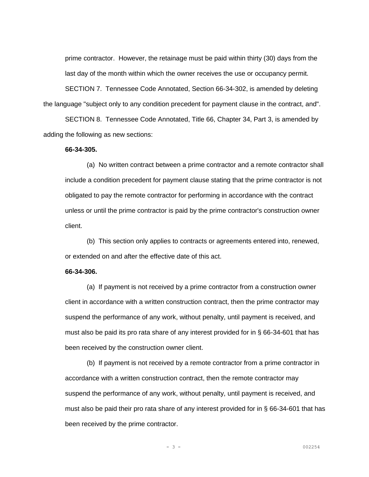prime contractor. However, the retainage must be paid within thirty (30) days from the last day of the month within which the owner receives the use or occupancy permit.

SECTION 7. Tennessee Code Annotated, Section 66-34-302, is amended by deleting the language "subject only to any condition precedent for payment clause in the contract, and".

SECTION 8. Tennessee Code Annotated, Title 66, Chapter 34, Part 3, is amended by adding the following as new sections:

## **66-34-305.**

(a) No written contract between a prime contractor and a remote contractor shall include a condition precedent for payment clause stating that the prime contractor is not obligated to pay the remote contractor for performing in accordance with the contract unless or until the prime contractor is paid by the prime contractor's construction owner client.

(b) This section only applies to contracts or agreements entered into, renewed, or extended on and after the effective date of this act.

## **66-34-306.**

(a) If payment is not received by a prime contractor from a construction owner client in accordance with a written construction contract, then the prime contractor may suspend the performance of any work, without penalty, until payment is received, and must also be paid its pro rata share of any interest provided for in § 66-34-601 that has been received by the construction owner client.

(b) If payment is not received by a remote contractor from a prime contractor in accordance with a written construction contract, then the remote contractor may suspend the performance of any work, without penalty, until payment is received, and must also be paid their pro rata share of any interest provided for in § 66-34-601 that has been received by the prime contractor.